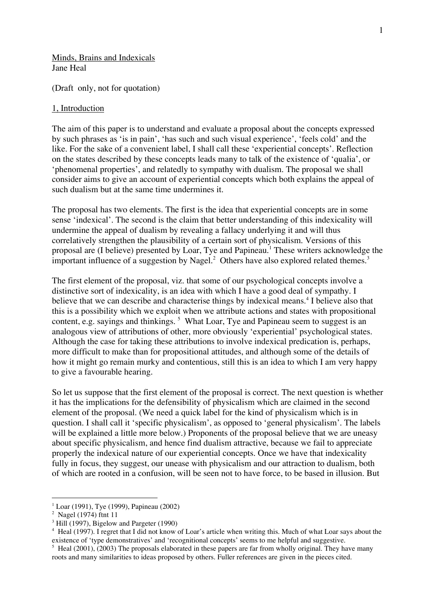Minds, Brains and Indexicals Jane Heal

(Draft only, not for quotation)

#### 1, Introduction

The aim of this paper is to understand and evaluate a proposal about the concepts expressed by such phrases as 'is in pain', 'has such and such visual experience', 'feels cold' and the like. For the sake of a convenient label, I shall call these 'experiential concepts'. Reflection on the states described by these concepts leads many to talk of the existence of 'qualia', or 'phenomenal properties', and relatedly to sympathy with dualism. The proposal we shall consider aims to give an account of experiential concepts which both explains the appeal of such dualism but at the same time undermines it.

The proposal has two elements. The first is the idea that experiential concepts are in some sense 'indexical'. The second is the claim that better understanding of this indexicality will undermine the appeal of dualism by revealing a fallacy underlying it and will thus correlatively strengthen the plausibility of a certain sort of physicalism. Versions of this proposal are (I believe) presented by Loar, Tye and Papineau.<sup>1</sup> These writers acknowledge the important influence of a suggestion by Nagel.<sup>2</sup> Others have also explored related themes.<sup>3</sup>

The first element of the proposal, viz. that some of our psychological concepts involve a distinctive sort of indexicality, is an idea with which I have a good deal of sympathy. I believe that we can describe and characterise things by indexical means.<sup>4</sup> I believe also that this is a possibility which we exploit when we attribute actions and states with propositional content, e.g. sayings and thinkings. <sup>5</sup> What Loar, Tye and Papineau seem to suggest is an analogous view of attributions of other, more obviously 'experiential' psychological states. Although the case for taking these attributions to involve indexical predication is, perhaps, more difficult to make than for propositional attitudes, and although some of the details of how it might go remain murky and contentious, still this is an idea to which I am very happy to give a favourable hearing.

So let us suppose that the first element of the proposal is correct. The next question is whether it has the implications for the defensibility of physicalism which are claimed in the second element of the proposal. (We need a quick label for the kind of physicalism which is in question. I shall call it 'specific physicalism', as opposed to 'general physicalism'. The labels will be explained a little more below.) Proponents of the proposal believe that we are uneasy about specific physicalism, and hence find dualism attractive, because we fail to appreciate properly the indexical nature of our experiential concepts. Once we have that indexicality fully in focus, they suggest, our unease with physicalism and our attraction to dualism, both of which are rooted in a confusion, will be seen not to have force, to be based in illusion. But

 <sup>1</sup> Loar (1991), Tye (1999), Papineau (2002)

<sup>2</sup> Nagel (1974) ftnt 11

<sup>&</sup>lt;sup>3</sup> Hill (1997), Bigelow and Pargeter (1990)

<sup>4</sup> Heal (1997). I regret that I did not know of Loar's article when writing this. Much of what Loar says about the existence of 'type demonstratives' and 'recognitional concepts' seems to me helpful and suggestive.

 $5$  Heal (2001), (2003) The proposals elaborated in these papers are far from wholly original. They have many roots and many similarities to ideas proposed by others. Fuller references are given in the pieces cited.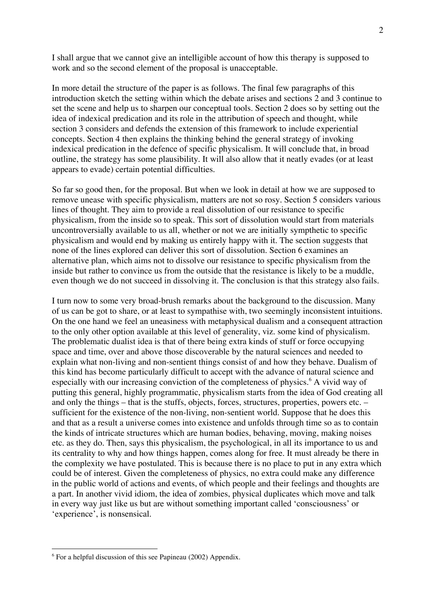I shall argue that we cannot give an intelligible account of how this therapy is supposed to work and so the second element of the proposal is unacceptable.

In more detail the structure of the paper is as follows. The final few paragraphs of this introduction sketch the setting within which the debate arises and sections 2 and 3 continue to set the scene and help us to sharpen our conceptual tools. Section 2 does so by setting out the idea of indexical predication and its role in the attribution of speech and thought, while section 3 considers and defends the extension of this framework to include experiential concepts. Section 4 then explains the thinking behind the general strategy of invoking indexical predication in the defence of specific physicalism. It will conclude that, in broad outline, the strategy has some plausibility. It will also allow that it neatly evades (or at least appears to evade) certain potential difficulties.

So far so good then, for the proposal. But when we look in detail at how we are supposed to remove unease with specific physicalism, matters are not so rosy. Section 5 considers various lines of thought. They aim to provide a real dissolution of our resistance to specific physicalism, from the inside so to speak. This sort of dissolution would start from materials uncontroversially available to us all, whether or not we are initially sympthetic to specific physicalism and would end by making us entirely happy with it. The section suggests that none of the lines explored can deliver this sort of dissolution. Section 6 examines an alternative plan, which aims not to dissolve our resistance to specific physicalism from the inside but rather to convince us from the outside that the resistance is likely to be a muddle, even though we do not succeed in dissolving it. The conclusion is that this strategy also fails.

I turn now to some very broad-brush remarks about the background to the discussion. Many of us can be got to share, or at least to sympathise with, two seemingly inconsistent intuitions. On the one hand we feel an uneasiness with metaphysical dualism and a consequent attraction to the only other option available at this level of generality, viz. some kind of physicalism. The problematic dualist idea is that of there being extra kinds of stuff or force occupying space and time, over and above those discoverable by the natural sciences and needed to explain what non-living and non-sentient things consist of and how they behave. Dualism of this kind has become particularly difficult to accept with the advance of natural science and especially with our increasing conviction of the completeness of physics.<sup>6</sup> A vivid way of putting this general, highly programmatic, physicalism starts from the idea of God creating all and only the things – that is the stuffs, objects, forces, structures, properties, powers etc. – sufficient for the existence of the non-living, non-sentient world. Suppose that he does this and that as a result a universe comes into existence and unfolds through time so as to contain the kinds of intricate structures which are human bodies, behaving, moving, making noises etc. as they do. Then, says this physicalism, the psychological, in all its importance to us and its centrality to why and how things happen, comes along for free. It must already be there in the complexity we have postulated. This is because there is no place to put in any extra which could be of interest. Given the completeness of physics, no extra could make any difference in the public world of actions and events, of which people and their feelings and thoughts are a part. In another vivid idiom, the idea of zombies, physical duplicates which move and talk in every way just like us but are without something important called 'consciousness' or 'experience', is nonsensical.

 $6$  For a helpful discussion of this see Papineau (2002) Appendix.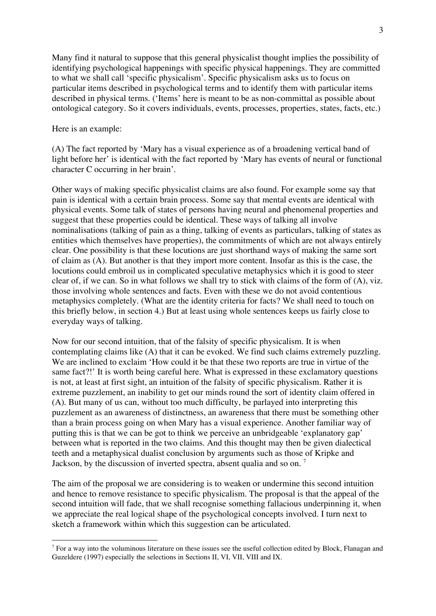Many find it natural to suppose that this general physicalist thought implies the possibility of identifying psychological happenings with specific physical happenings. They are committed to what we shall call 'specific physicalism'. Specific physicalism asks us to focus on particular items described in psychological terms and to identify them with particular items described in physical terms. ('Items' here is meant to be as non-committal as possible about ontological category. So it covers individuals, events, processes, properties, states, facts, etc.)

#### Here is an example:

(A) The fact reported by 'Mary has a visual experience as of a broadening vertical band of light before her' is identical with the fact reported by 'Mary has events of neural or functional character C occurring in her brain'.

Other ways of making specific physicalist claims are also found. For example some say that pain is identical with a certain brain process. Some say that mental events are identical with physical events. Some talk of states of persons having neural and phenomenal properties and suggest that these properties could be identical. These ways of talking all involve nominalisations (talking of pain as a thing, talking of events as particulars, talking of states as entities which themselves have properties), the commitments of which are not always entirely clear. One possibility is that these locutions are just shorthand ways of making the same sort of claim as (A). But another is that they import more content. Insofar as this is the case, the locutions could embroil us in complicated speculative metaphysics which it is good to steer clear of, if we can. So in what follows we shall try to stick with claims of the form of (A), viz. those involving whole sentences and facts. Even with these we do not avoid contentious metaphysics completely. (What are the identity criteria for facts? We shall need to touch on this briefly below, in section 4.) But at least using whole sentences keeps us fairly close to everyday ways of talking.

Now for our second intuition, that of the falsity of specific physicalism. It is when contemplating claims like (A) that it can be evoked. We find such claims extremely puzzling. We are inclined to exclaim 'How could it be that these two reports are true in virtue of the same fact?!' It is worth being careful here. What is expressed in these exclamatory questions is not, at least at first sight, an intuition of the falsity of specific physicalism. Rather it is extreme puzzlement, an inability to get our minds round the sort of identity claim offered in (A). But many of us can, without too much difficulty, be parlayed into interpreting this puzzlement as an awareness of distinctness, an awareness that there must be something other than a brain process going on when Mary has a visual experience. Another familiar way of putting this is that we can be got to think we perceive an unbridgeable 'explanatory gap' between what is reported in the two claims. And this thought may then be given dialectical teeth and a metaphysical dualist conclusion by arguments such as those of Kripke and Jackson, by the discussion of inverted spectra, absent qualia and so on.<sup>7</sup>

The aim of the proposal we are considering is to weaken or undermine this second intuition and hence to remove resistance to specific physicalism. The proposal is that the appeal of the second intuition will fade, that we shall recognise something fallacious underpinning it, when we appreciate the real logical shape of the psychological concepts involved. I turn next to sketch a framework within which this suggestion can be articulated.

 $<sup>7</sup>$  For a way into the voluminous literature on these issues see the useful collection edited by Block, Flanagan and</sup> Guzeldere (1997) especially the selections in Sections II, VI, VII, VIII and IX.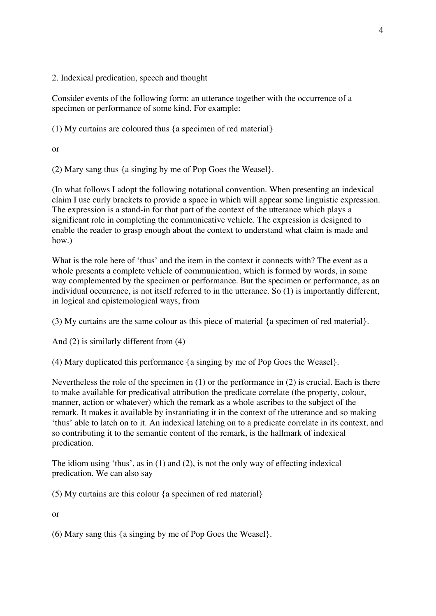# 2. Indexical predication, speech and thought

Consider events of the following form: an utterance together with the occurrence of a specimen or performance of some kind. For example:

(1) My curtains are coloured thus {a specimen of red material}

or

(2) Mary sang thus {a singing by me of Pop Goes the Weasel}.

(In what follows I adopt the following notational convention. When presenting an indexical claim I use curly brackets to provide a space in which will appear some linguistic expression. The expression is a stand-in for that part of the context of the utterance which plays a significant role in completing the communicative vehicle. The expression is designed to enable the reader to grasp enough about the context to understand what claim is made and how.)

What is the role here of 'thus' and the item in the context it connects with? The event as a whole presents a complete vehicle of communication, which is formed by words, in some way complemented by the specimen or performance. But the specimen or performance, as an individual occurrence, is not itself referred to in the utterance. So (1) is importantly different, in logical and epistemological ways, from

(3) My curtains are the same colour as this piece of material {a specimen of red material}.

And (2) is similarly different from (4)

(4) Mary duplicated this performance {a singing by me of Pop Goes the Weasel}.

Nevertheless the role of the specimen in (1) or the performance in (2) is crucial. Each is there to make available for predicatival attribution the predicate correlate (the property, colour, manner, action or whatever) which the remark as a whole ascribes to the subject of the remark. It makes it available by instantiating it in the context of the utterance and so making 'thus' able to latch on to it. An indexical latching on to a predicate correlate in its context, and so contributing it to the semantic content of the remark, is the hallmark of indexical predication.

The idiom using 'thus', as in (1) and (2), is not the only way of effecting indexical predication. We can also say

(5) My curtains are this colour {a specimen of red material}

or

(6) Mary sang this {a singing by me of Pop Goes the Weasel}.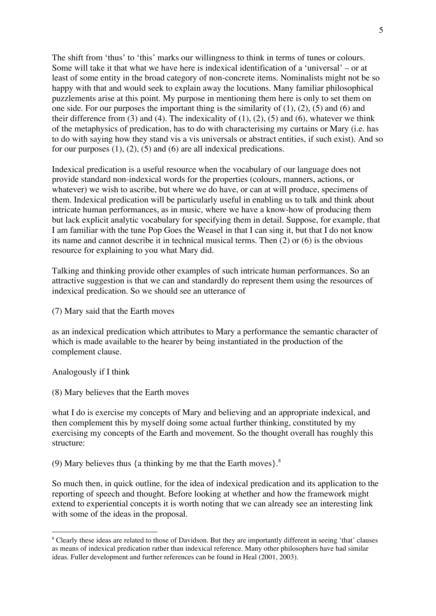The shift from 'thus' to 'this' marks our willingness to think in terms of tunes or colours. Some will take it that what we have here is indexical identification of a 'universal' – or at least of some entity in the broad category of non-concrete items. Nominalists might not be so happy with that and would seek to explain away the locutions. Many familiar philosophical puzzlements arise at this point. My purpose in mentioning them here is only to set them on one side. For our purposes the important thing is the similarity of  $(1)$ ,  $(2)$ ,  $(5)$  and  $(6)$  and their difference from  $(3)$  and  $(4)$ . The indexicality of  $(1)$ ,  $(2)$ ,  $(5)$  and  $(6)$ , whatever we think of the metaphysics of predication, has to do with characterising my curtains or Mary (i.e. has to do with saying how they stand vis a vis universals or abstract entities, if such exist). And so for our purposes  $(1)$ ,  $(2)$ ,  $(5)$  and  $(6)$  are all indexical predications.

Indexical predication is a useful resource when the vocabulary of our language does not provide standard non-indexical words for the properties (colours, manners, actions, or whatever) we wish to ascribe, but where we do have, or can at will produce, specimens of them. Indexical predication will be particularly useful in enabling us to talk and think about intricate human performances, as in music, where we have a know-how of producing them but lack explicit analytic vocabulary for specifying them in detail. Suppose, for example, that I am familiar with the tune Pop Goes the Weasel in that I can sing it, but that I do not know its name and cannot describe it in technical musical terms. Then (2) or (6) is the obvious resource for explaining to you what Mary did.

Talking and thinking provide other examples of such intricate human performances. So an attractive suggestion is that we can and standardly do represent them using the resources of indexical predication. So we should see an utterance of

(7) Mary said that the Earth moves

as an indexical predication which attributes to Mary a performance the semantic character of which is made available to the hearer by being instantiated in the production of the complement clause.

Analogously if I think

(8) Mary believes that the Earth moves

what I do is exercise my concepts of Mary and believing and an appropriate indexical, and then complement this by myself doing some actual further thinking, constituted by my exercising my concepts of the Earth and movement. So the thought overall has roughly this structure:

(9) Mary believes thus  $\{a \text{ thinking by me that the Earth moves}\}$ .<sup>8</sup>

So much then, in quick outline, for the idea of indexical predication and its application to the reporting of speech and thought. Before looking at whether and how the framework might extend to experiential concepts it is worth noting that we can already see an interesting link with some of the ideas in the proposal.

 <sup>8</sup> Clearly these ideas are related to those of Davidson. But they are importantly different in seeing 'that' clauses as means of indexical predication rather than indexical reference. Many other philosophers have had similar ideas. Fuller development and further references can be found in Heal (2001, 2003).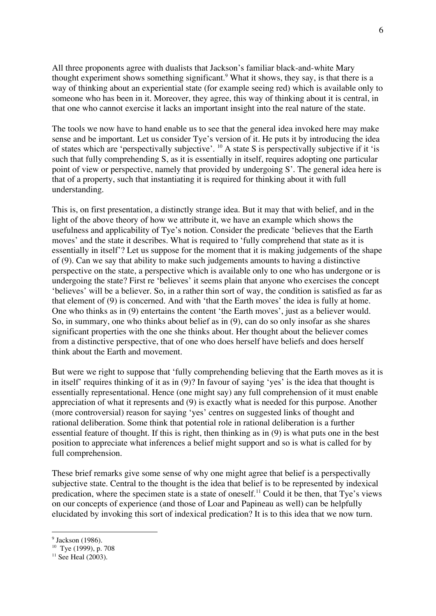All three proponents agree with dualists that Jackson's familiar black-and-white Mary thought experiment shows something significant.<sup>9</sup> What it shows, they say, is that there is a way of thinking about an experiential state (for example seeing red) which is available only to someone who has been in it. Moreover, they agree, this way of thinking about it is central, in that one who cannot exercise it lacks an important insight into the real nature of the state.

The tools we now have to hand enable us to see that the general idea invoked here may make sense and be important. Let us consider Tye's version of it. He puts it by introducing the idea of states which are 'perspectivally subjective'. 10 A state S is perspectivally subjective if it 'is such that fully comprehending S, as it is essentially in itself, requires adopting one particular point of view or perspective, namely that provided by undergoing S'. The general idea here is that of a property, such that instantiating it is required for thinking about it with full understanding.

This is, on first presentation, a distinctly strange idea. But it may that with belief, and in the light of the above theory of how we attribute it, we have an example which shows the usefulness and applicability of Tye's notion. Consider the predicate 'believes that the Earth moves' and the state it describes. What is required to 'fully comprehend that state as it is essentially in itself'? Let us suppose for the moment that it is making judgements of the shape of (9). Can we say that ability to make such judgements amounts to having a distinctive perspective on the state, a perspective which is available only to one who has undergone or is undergoing the state? First re 'believes' it seems plain that anyone who exercises the concept 'believes' will be a believer. So, in a rather thin sort of way, the condition is satisfied as far as that element of (9) is concerned. And with 'that the Earth moves' the idea is fully at home. One who thinks as in (9) entertains the content 'the Earth moves', just as a believer would. So, in summary, one who thinks about belief as in (9), can do so only insofar as she shares significant properties with the one she thinks about. Her thought about the believer comes from a distinctive perspective, that of one who does herself have beliefs and does herself think about the Earth and movement.

But were we right to suppose that 'fully comprehending believing that the Earth moves as it is in itself' requires thinking of it as in (9)? In favour of saying 'yes' is the idea that thought is essentially representational. Hence (one might say) any full comprehension of it must enable appreciation of what it represents and (9) is exactly what is needed for this purpose. Another (more controversial) reason for saying 'yes' centres on suggested links of thought and rational deliberation. Some think that potential role in rational deliberation is a further essential feature of thought. If this is right, then thinking as in (9) is what puts one in the best position to appreciate what inferences a belief might support and so is what is called for by full comprehension.

These brief remarks give some sense of why one might agree that belief is a perspectivally subjective state. Central to the thought is the idea that belief is to be represented by indexical predication, where the specimen state is a state of oneself.<sup>11</sup> Could it be then, that Tye's views on our concepts of experience (and those of Loar and Papineau as well) can be helpfully elucidated by invoking this sort of indexical predication? It is to this idea that we now turn.

<sup>&</sup>lt;sup>9</sup> Jackson (1986).

<sup>10</sup> Tye (1999), p. 708

 $11$  See Heal (2003).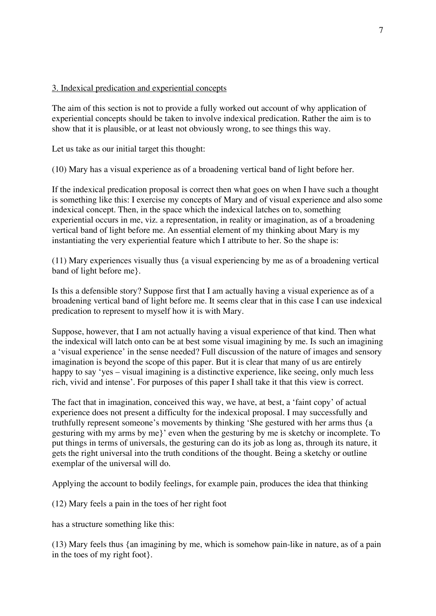## 3. Indexical predication and experiential concepts

The aim of this section is not to provide a fully worked out account of why application of experiential concepts should be taken to involve indexical predication. Rather the aim is to show that it is plausible, or at least not obviously wrong, to see things this way.

Let us take as our initial target this thought:

(10) Mary has a visual experience as of a broadening vertical band of light before her.

If the indexical predication proposal is correct then what goes on when I have such a thought is something like this: I exercise my concepts of Mary and of visual experience and also some indexical concept. Then, in the space which the indexical latches on to, something experiential occurs in me, viz. a representation, in reality or imagination, as of a broadening vertical band of light before me. An essential element of my thinking about Mary is my instantiating the very experiential feature which I attribute to her. So the shape is:

(11) Mary experiences visually thus {a visual experiencing by me as of a broadening vertical band of light before me}.

Is this a defensible story? Suppose first that I am actually having a visual experience as of a broadening vertical band of light before me. It seems clear that in this case I can use indexical predication to represent to myself how it is with Mary.

Suppose, however, that I am not actually having a visual experience of that kind. Then what the indexical will latch onto can be at best some visual imagining by me. Is such an imagining a 'visual experience' in the sense needed? Full discussion of the nature of images and sensory imagination is beyond the scope of this paper. But it is clear that many of us are entirely happy to say 'yes – visual imagining is a distinctive experience, like seeing, only much less rich, vivid and intense'. For purposes of this paper I shall take it that this view is correct.

The fact that in imagination, conceived this way, we have, at best, a 'faint copy' of actual experience does not present a difficulty for the indexical proposal. I may successfully and truthfully represent someone's movements by thinking 'She gestured with her arms thus {a gesturing with my arms by me}' even when the gesturing by me is sketchy or incomplete. To put things in terms of universals, the gesturing can do its job as long as, through its nature, it gets the right universal into the truth conditions of the thought. Being a sketchy or outline exemplar of the universal will do.

Applying the account to bodily feelings, for example pain, produces the idea that thinking

(12) Mary feels a pain in the toes of her right foot

has a structure something like this:

(13) Mary feels thus {an imagining by me, which is somehow pain-like in nature, as of a pain in the toes of my right foot}.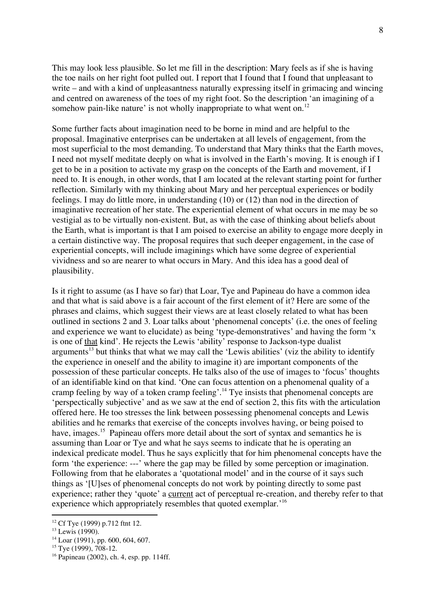This may look less plausible. So let me fill in the description: Mary feels as if she is having the toe nails on her right foot pulled out. I report that I found that I found that unpleasant to write – and with a kind of unpleasantness naturally expressing itself in grimacing and wincing and centred on awareness of the toes of my right foot. So the description 'an imagining of a somehow pain-like nature' is not wholly inappropriate to what went on.<sup>12</sup>

Some further facts about imagination need to be borne in mind and are helpful to the proposal. Imaginative enterprises can be undertaken at all levels of engagement, from the most superficial to the most demanding. To understand that Mary thinks that the Earth moves, I need not myself meditate deeply on what is involved in the Earth's moving. It is enough if I get to be in a position to activate my grasp on the concepts of the Earth and movement, if I need to. It is enough, in other words, that I am located at the relevant starting point for further reflection. Similarly with my thinking about Mary and her perceptual experiences or bodily feelings. I may do little more, in understanding (10) or (12) than nod in the direction of imaginative recreation of her state. The experiential element of what occurs in me may be so vestigial as to be virtually non-existent. But, as with the case of thinking about beliefs about the Earth, what is important is that I am poised to exercise an ability to engage more deeply in a certain distinctive way. The proposal requires that such deeper engagement, in the case of experiential concepts, will include imaginings which have some degree of experiential vividness and so are nearer to what occurs in Mary. And this idea has a good deal of plausibility.

Is it right to assume (as I have so far) that Loar, Tye and Papineau do have a common idea and that what is said above is a fair account of the first element of it? Here are some of the phrases and claims, which suggest their views are at least closely related to what has been outlined in sections 2 and 3. Loar talks about 'phenomenal concepts' (i.e. the ones of feeling and experience we want to elucidate) as being 'type-demonstratives' and having the form 'x is one of that kind'. He rejects the Lewis 'ability' response to Jackson-type dualist arguments<sup>13</sup> but thinks that what we may call the 'Lewis abilities' (viz the ability to identify the experience in oneself and the ability to imagine it) are important components of the possession of these particular concepts. He talks also of the use of images to 'focus' thoughts of an identifiable kind on that kind. 'One can focus attention on a phenomenal quality of a cramp feeling by way of a token cramp feeling'.<sup>14</sup> Tye insists that phenomenal concepts are 'perspectically subjective' and as we saw at the end of section 2, this fits with the articulation offered here. He too stresses the link between possessing phenomenal concepts and Lewis abilities and he remarks that exercise of the concepts involves having, or being poised to have, images.<sup>15</sup> Papineau offers more detail about the sort of syntax and semantics he is assuming than Loar or Tye and what he says seems to indicate that he is operating an indexical predicate model. Thus he says explicitly that for him phenomenal concepts have the form 'the experience: ---' where the gap may be filled by some perception or imagination. Following from that he elaborates a 'quotational model' and in the course of it says such things as '[U]ses of phenomenal concepts do not work by pointing directly to some past experience; rather they 'quote' a current act of perceptual re-creation, and thereby refer to that experience which appropriately resembles that quoted exemplar.'<sup>16</sup>

<sup>&</sup>lt;sup>12</sup> Cf Tye (1999) p.712 ftnt 12.

 $13$  Lewis (1990).

<sup>14</sup> Loar (1991), pp. 600, 604, 607.

<sup>&</sup>lt;sup>15</sup> Tye (1999), 708-12.

<sup>16</sup> Papineau (2002), ch. 4, esp. pp. 114ff.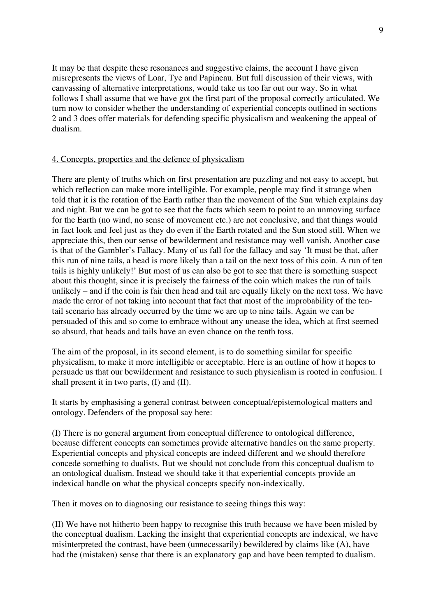It may be that despite these resonances and suggestive claims, the account I have given misrepresents the views of Loar, Tye and Papineau. But full discussion of their views, with canvassing of alternative interpretations, would take us too far out our way. So in what follows I shall assume that we have got the first part of the proposal correctly articulated. We turn now to consider whether the understanding of experiential concepts outlined in sections 2 and 3 does offer materials for defending specific physicalism and weakening the appeal of dualism.

## 4. Concepts, properties and the defence of physicalism

There are plenty of truths which on first presentation are puzzling and not easy to accept, but which reflection can make more intelligible. For example, people may find it strange when told that it is the rotation of the Earth rather than the movement of the Sun which explains day and night. But we can be got to see that the facts which seem to point to an unmoving surface for the Earth (no wind, no sense of movement etc.) are not conclusive, and that things would in fact look and feel just as they do even if the Earth rotated and the Sun stood still. When we appreciate this, then our sense of bewilderment and resistance may well vanish. Another case is that of the Gambler's Fallacy. Many of us fall for the fallacy and say 'It must be that, after this run of nine tails, a head is more likely than a tail on the next toss of this coin. A run of ten tails is highly unlikely!' But most of us can also be got to see that there is something suspect about this thought, since it is precisely the fairness of the coin which makes the run of tails unlikely – and if the coin is fair then head and tail are equally likely on the next toss. We have made the error of not taking into account that fact that most of the improbability of the tentail scenario has already occurred by the time we are up to nine tails. Again we can be persuaded of this and so come to embrace without any unease the idea, which at first seemed so absurd, that heads and tails have an even chance on the tenth toss.

The aim of the proposal, in its second element, is to do something similar for specific physicalism, to make it more intelligible or acceptable. Here is an outline of how it hopes to persuade us that our bewilderment and resistance to such physicalism is rooted in confusion. I shall present it in two parts, (I) and (II).

It starts by emphasising a general contrast between conceptual/epistemological matters and ontology. Defenders of the proposal say here:

(I) There is no general argument from conceptual difference to ontological difference, because different concepts can sometimes provide alternative handles on the same property. Experiential concepts and physical concepts are indeed different and we should therefore concede something to dualists. But we should not conclude from this conceptual dualism to an ontological dualism. Instead we should take it that experiential concepts provide an indexical handle on what the physical concepts specify non-indexically.

Then it moves on to diagnosing our resistance to seeing things this way:

(II) We have not hitherto been happy to recognise this truth because we have been misled by the conceptual dualism. Lacking the insight that experiential concepts are indexical, we have misinterpreted the contrast, have been (unnecessarily) bewildered by claims like (A), have had the (mistaken) sense that there is an explanatory gap and have been tempted to dualism.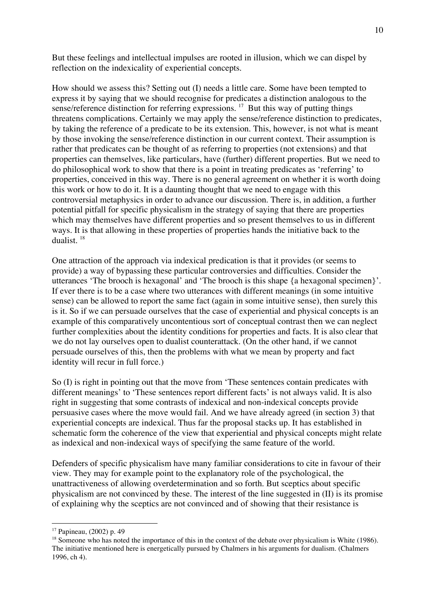But these feelings and intellectual impulses are rooted in illusion, which we can dispel by reflection on the indexicality of experiential concepts.

How should we assess this? Setting out (I) needs a little care. Some have been tempted to express it by saying that we should recognise for predicates a distinction analogous to the sense/reference distinction for referring expressions.  $17$  But this way of putting things threatens complications. Certainly we may apply the sense/reference distinction to predicates, by taking the reference of a predicate to be its extension. This, however, is not what is meant by those invoking the sense/reference distinction in our current context. Their assumption is rather that predicates can be thought of as referring to properties (not extensions) and that properties can themselves, like particulars, have (further) different properties. But we need to do philosophical work to show that there is a point in treating predicates as 'referring' to properties, conceived in this way. There is no general agreement on whether it is worth doing this work or how to do it. It is a daunting thought that we need to engage with this controversial metaphysics in order to advance our discussion. There is, in addition, a further potential pitfall for specific physicalism in the strategy of saying that there are properties which may themselves have different properties and so present themselves to us in different ways. It is that allowing in these properties of properties hands the initiative back to the dualist. 18

One attraction of the approach via indexical predication is that it provides (or seems to provide) a way of bypassing these particular controversies and difficulties. Consider the utterances 'The brooch is hexagonal' and 'The brooch is this shape {a hexagonal specimen}'. If ever there is to be a case where two utterances with different meanings (in some intuitive sense) can be allowed to report the same fact (again in some intuitive sense), then surely this is it. So if we can persuade ourselves that the case of experiential and physical concepts is an example of this comparatively uncontentious sort of conceptual contrast then we can neglect further complexities about the identity conditions for properties and facts. It is also clear that we do not lay ourselves open to dualist counterattack. (On the other hand, if we cannot persuade ourselves of this, then the problems with what we mean by property and fact identity will recur in full force.)

So (I) is right in pointing out that the move from 'These sentences contain predicates with different meanings' to 'These sentences report different facts' is not always valid. It is also right in suggesting that some contrasts of indexical and non-indexical concepts provide persuasive cases where the move would fail. And we have already agreed (in section 3) that experiential concepts are indexical. Thus far the proposal stacks up. It has established in schematic form the coherence of the view that experiential and physical concepts might relate as indexical and non-indexical ways of specifying the same feature of the world.

Defenders of specific physicalism have many familiar considerations to cite in favour of their view. They may for example point to the explanatory role of the psychological, the unattractiveness of allowing overdetermination and so forth. But sceptics about specific physicalism are not convinced by these. The interest of the line suggested in (II) is its promise of explaining why the sceptics are not convinced and of showing that their resistance is

 <sup>17</sup> Papineau, (2002) p. <sup>49</sup>

<sup>&</sup>lt;sup>18</sup> Someone who has noted the importance of this in the context of the debate over physicalism is White (1986). The initiative mentioned here is energetically pursued by Chalmers in his arguments for dualism. (Chalmers 1996, ch 4).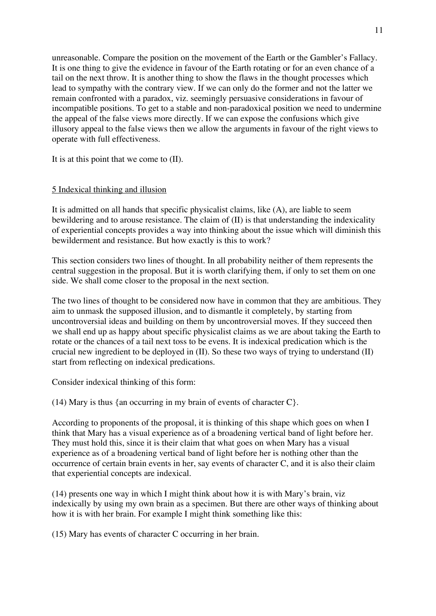unreasonable. Compare the position on the movement of the Earth or the Gambler's Fallacy. It is one thing to give the evidence in favour of the Earth rotating or for an even chance of a tail on the next throw. It is another thing to show the flaws in the thought processes which lead to sympathy with the contrary view. If we can only do the former and not the latter we remain confronted with a paradox, viz. seemingly persuasive considerations in favour of incompatible positions. To get to a stable and non-paradoxical position we need to undermine the appeal of the false views more directly. If we can expose the confusions which give illusory appeal to the false views then we allow the arguments in favour of the right views to operate with full effectiveness.

It is at this point that we come to (II).

### 5 Indexical thinking and illusion

It is admitted on all hands that specific physicalist claims, like (A), are liable to seem bewildering and to arouse resistance. The claim of (II) is that understanding the indexicality of experiential concepts provides a way into thinking about the issue which will diminish this bewilderment and resistance. But how exactly is this to work?

This section considers two lines of thought. In all probability neither of them represents the central suggestion in the proposal. But it is worth clarifying them, if only to set them on one side. We shall come closer to the proposal in the next section.

The two lines of thought to be considered now have in common that they are ambitious. They aim to unmask the supposed illusion, and to dismantle it completely, by starting from uncontroversial ideas and building on them by uncontroversial moves. If they succeed then we shall end up as happy about specific physicalist claims as we are about taking the Earth to rotate or the chances of a tail next toss to be evens. It is indexical predication which is the crucial new ingredient to be deployed in (II). So these two ways of trying to understand (II) start from reflecting on indexical predications.

Consider indexical thinking of this form:

(14) Mary is thus {an occurring in my brain of events of character  $C$ }.

According to proponents of the proposal, it is thinking of this shape which goes on when I think that Mary has a visual experience as of a broadening vertical band of light before her. They must hold this, since it is their claim that what goes on when Mary has a visual experience as of a broadening vertical band of light before her is nothing other than the occurrence of certain brain events in her, say events of character C, and it is also their claim that experiential concepts are indexical.

(14) presents one way in which I might think about how it is with Mary's brain, viz indexically by using my own brain as a specimen. But there are other ways of thinking about how it is with her brain. For example I might think something like this:

(15) Mary has events of character C occurring in her brain.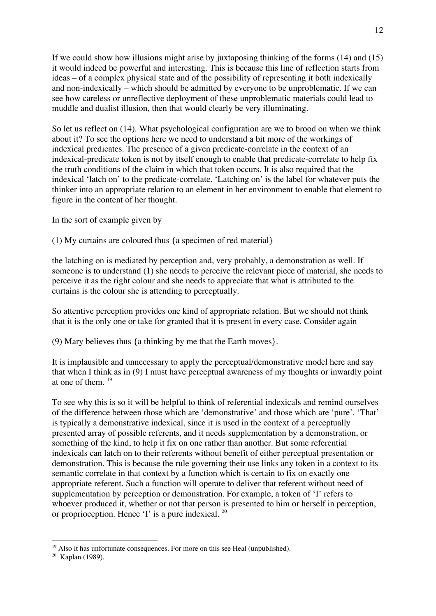If we could show how illusions might arise by juxtaposing thinking of the forms (14) and (15) it would indeed be powerful and interesting. This is because this line of reflection starts from ideas – of a complex physical state and of the possibility of representing it both indexically and non-indexically – which should be admitted by everyone to be unproblematic. If we can see how careless or unreflective deployment of these unproblematic materials could lead to muddle and dualist illusion, then that would clearly be very illuminating.

So let us reflect on (14). What psychological configuration are we to brood on when we think about it? To see the options here we need to understand a bit more of the workings of indexical predicates. The presence of a given predicate-correlate in the context of an indexical-predicate token is not by itself enough to enable that predicate-correlate to help fix the truth conditions of the claim in which that token occurs. It is also required that the indexical 'latch on' to the predicate-correlate. 'Latching on' is the label for whatever puts the thinker into an appropriate relation to an element in her environment to enable that element to figure in the content of her thought.

In the sort of example given by

(1) My curtains are coloured thus {a specimen of red material}

the latching on is mediated by perception and, very probably, a demonstration as well. If someone is to understand (1) she needs to perceive the relevant piece of material, she needs to perceive it as the right colour and she needs to appreciate that what is attributed to the curtains is the colour she is attending to perceptually.

So attentive perception provides one kind of appropriate relation. But we should not think that it is the only one or take for granted that it is present in every case. Consider again

(9) Mary believes thus {a thinking by me that the Earth moves}.

It is implausible and unnecessary to apply the perceptual/demonstrative model here and say that when I think as in (9) I must have perceptual awareness of my thoughts or inwardly point at one of them. <sup>19</sup>

To see why this is so it will be helpful to think of referential indexicals and remind ourselves of the difference between those which are 'demonstrative' and those which are 'pure'. 'That' is typically a demonstrative indexical, since it is used in the context of a perceptually presented array of possible referents, and it needs supplementation by a demonstration, or something of the kind, to help it fix on one rather than another. But some referential indexicals can latch on to their referents without benefit of either perceptual presentation or demonstration. This is because the rule governing their use links any token in a context to its semantic correlate in that context by a function which is certain to fix on exactly one appropriate referent. Such a function will operate to deliver that referent without need of supplementation by perception or demonstration. For example, a token of 'I' refers to whoever produced it, whether or not that person is presented to him or herself in perception, or proprioception. Hence  $\dot{\mathbf{T}}$  is a pure indexical.  $^{20}$ 

<sup>&</sup>lt;sup>19</sup> Also it has unfortunate consequences. For more on this see Heal (unpublished).

<sup>20</sup> Kaplan (1989).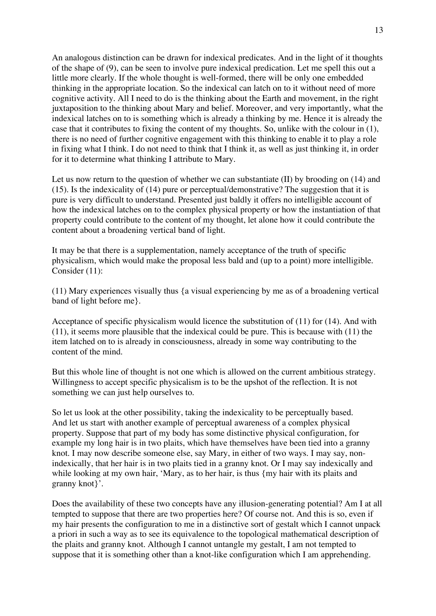An analogous distinction can be drawn for indexical predicates. And in the light of it thoughts of the shape of (9), can be seen to involve pure indexical predication. Let me spell this out a little more clearly. If the whole thought is well-formed, there will be only one embedded thinking in the appropriate location. So the indexical can latch on to it without need of more cognitive activity. All I need to do is the thinking about the Earth and movement, in the right juxtaposition to the thinking about Mary and belief. Moreover, and very importantly, what the indexical latches on to is something which is already a thinking by me. Hence it is already the case that it contributes to fixing the content of my thoughts. So, unlike with the colour in (1), there is no need of further cognitive engagement with this thinking to enable it to play a role in fixing what I think. I do not need to think that I think it, as well as just thinking it, in order for it to determine what thinking I attribute to Mary.

Let us now return to the question of whether we can substantiate (II) by brooding on (14) and (15). Is the indexicality of (14) pure or perceptual/demonstrative? The suggestion that it is pure is very difficult to understand. Presented just baldly it offers no intelligible account of how the indexical latches on to the complex physical property or how the instantiation of that property could contribute to the content of my thought, let alone how it could contribute the content about a broadening vertical band of light.

It may be that there is a supplementation, namely acceptance of the truth of specific physicalism, which would make the proposal less bald and (up to a point) more intelligible. Consider (11):

(11) Mary experiences visually thus {a visual experiencing by me as of a broadening vertical band of light before me}.

Acceptance of specific physicalism would licence the substitution of (11) for (14). And with (11), it seems more plausible that the indexical could be pure. This is because with (11) the item latched on to is already in consciousness, already in some way contributing to the content of the mind.

But this whole line of thought is not one which is allowed on the current ambitious strategy. Willingness to accept specific physicalism is to be the upshot of the reflection. It is not something we can just help ourselves to.

So let us look at the other possibility, taking the indexicality to be perceptually based. And let us start with another example of perceptual awareness of a complex physical property. Suppose that part of my body has some distinctive physical configuration, for example my long hair is in two plaits, which have themselves have been tied into a granny knot. I may now describe someone else, say Mary, in either of two ways. I may say, nonindexically, that her hair is in two plaits tied in a granny knot. Or I may say indexically and while looking at my own hair, 'Mary, as to her hair, is thus  ${m$  hair with its plaits and granny knot}'.

Does the availability of these two concepts have any illusion-generating potential? Am I at all tempted to suppose that there are two properties here? Of course not. And this is so, even if my hair presents the configuration to me in a distinctive sort of gestalt which I cannot unpack a priori in such a way as to see its equivalence to the topological mathematical description of the plaits and granny knot. Although I cannot untangle my gestalt, I am not tempted to suppose that it is something other than a knot-like configuration which I am apprehending.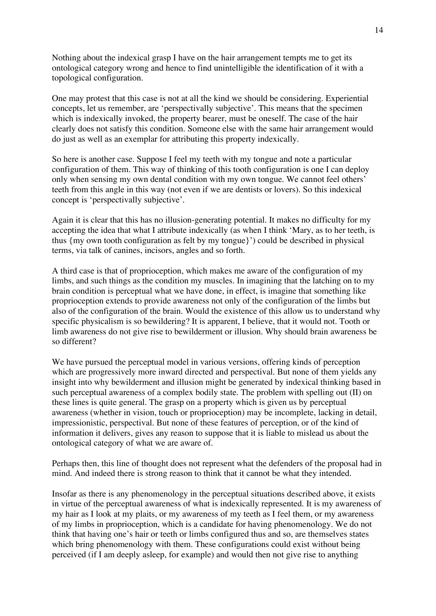Nothing about the indexical grasp I have on the hair arrangement tempts me to get its ontological category wrong and hence to find unintelligible the identification of it with a topological configuration.

One may protest that this case is not at all the kind we should be considering. Experiential concepts, let us remember, are 'perspectivally subjective'. This means that the specimen which is indexically invoked, the property bearer, must be oneself. The case of the hair clearly does not satisfy this condition. Someone else with the same hair arrangement would do just as well as an exemplar for attributing this property indexically.

So here is another case. Suppose I feel my teeth with my tongue and note a particular configuration of them. This way of thinking of this tooth configuration is one I can deploy only when sensing my own dental condition with my own tongue. We cannot feel others' teeth from this angle in this way (not even if we are dentists or lovers). So this indexical concept is 'perspectivally subjective'.

Again it is clear that this has no illusion-generating potential. It makes no difficulty for my accepting the idea that what I attribute indexically (as when I think 'Mary, as to her teeth, is thus {my own tooth configuration as felt by my tongue}') could be described in physical terms, via talk of canines, incisors, angles and so forth.

A third case is that of proprioception, which makes me aware of the configuration of my limbs, and such things as the condition my muscles. In imagining that the latching on to my brain condition is perceptual what we have done, in effect, is imagine that something like proprioception extends to provide awareness not only of the configuration of the limbs but also of the configuration of the brain. Would the existence of this allow us to understand why specific physicalism is so bewildering? It is apparent, I believe, that it would not. Tooth or limb awareness do not give rise to bewilderment or illusion. Why should brain awareness be so different?

We have pursued the perceptual model in various versions, offering kinds of perception which are progressively more inward directed and perspectival. But none of them yields any insight into why bewilderment and illusion might be generated by indexical thinking based in such perceptual awareness of a complex bodily state. The problem with spelling out (II) on these lines is quite general. The grasp on a property which is given us by perceptual awareness (whether in vision, touch or proprioception) may be incomplete, lacking in detail, impressionistic, perspectival. But none of these features of perception, or of the kind of information it delivers, gives any reason to suppose that it is liable to mislead us about the ontological category of what we are aware of.

Perhaps then, this line of thought does not represent what the defenders of the proposal had in mind. And indeed there is strong reason to think that it cannot be what they intended.

Insofar as there is any phenomenology in the perceptual situations described above, it exists in virtue of the perceptual awareness of what is indexically represented. It is my awareness of my hair as I look at my plaits, or my awareness of my teeth as I feel them, or my awareness of my limbs in proprioception, which is a candidate for having phenomenology. We do not think that having one's hair or teeth or limbs configured thus and so, are themselves states which bring phenomenology with them. These configurations could exist without being perceived (if I am deeply asleep, for example) and would then not give rise to anything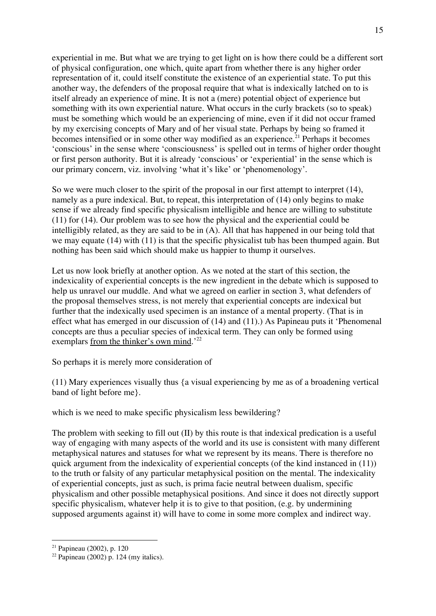experiential in me. But what we are trying to get light on is how there could be a different sort of physical configuration, one which, quite apart from whether there is any higher order representation of it, could itself constitute the existence of an experiential state. To put this another way, the defenders of the proposal require that what is indexically latched on to is itself already an experience of mine. It is not a (mere) potential object of experience but something with its own experiential nature. What occurs in the curly brackets (so to speak) must be something which would be an experiencing of mine, even if it did not occur framed by my exercising concepts of Mary and of her visual state. Perhaps by being so framed it becomes intensified or in some other way modified as an experience.<sup>21</sup> Perhaps it becomes 'conscious' in the sense where 'consciousness' is spelled out in terms of higher order thought or first person authority. But it is already 'conscious' or 'experiential' in the sense which is our primary concern, viz. involving 'what it's like' or 'phenomenology'.

So we were much closer to the spirit of the proposal in our first attempt to interpret (14), namely as a pure indexical. But, to repeat, this interpretation of (14) only begins to make sense if we already find specific physicalism intelligible and hence are willing to substitute (11) for (14). Our problem was to see how the physical and the experiential could be intelligibly related, as they are said to be in (A). All that has happened in our being told that we may equate (14) with (11) is that the specific physicalist tub has been thumped again. But nothing has been said which should make us happier to thump it ourselves.

Let us now look briefly at another option. As we noted at the start of this section, the indexicality of experiential concepts is the new ingredient in the debate which is supposed to help us unravel our muddle. And what we agreed on earlier in section 3, what defenders of the proposal themselves stress, is not merely that experiential concepts are indexical but further that the indexically used specimen is an instance of a mental property. (That is in effect what has emerged in our discussion of (14) and (11).) As Papineau puts it 'Phenomenal concepts are thus a peculiar species of indexical term. They can only be formed using exemplars from the thinker's own mind.<sup>'22</sup>

So perhaps it is merely more consideration of

(11) Mary experiences visually thus {a visual experiencing by me as of a broadening vertical band of light before me}.

which is we need to make specific physicalism less bewildering?

The problem with seeking to fill out (II) by this route is that indexical predication is a useful way of engaging with many aspects of the world and its use is consistent with many different metaphysical natures and statuses for what we represent by its means. There is therefore no quick argument from the indexicality of experiential concepts (of the kind instanced in (11)) to the truth or falsity of any particular metaphysical position on the mental. The indexicality of experiential concepts, just as such, is prima facie neutral between dualism, specific physicalism and other possible metaphysical positions. And since it does not directly support specific physicalism, whatever help it is to give to that position, (e.g. by undermining supposed arguments against it) will have to come in some more complex and indirect way.

 <sup>21</sup> Papineau (2002), p. <sup>120</sup>

 $22$  Papineau (2002) p. 124 (my italics).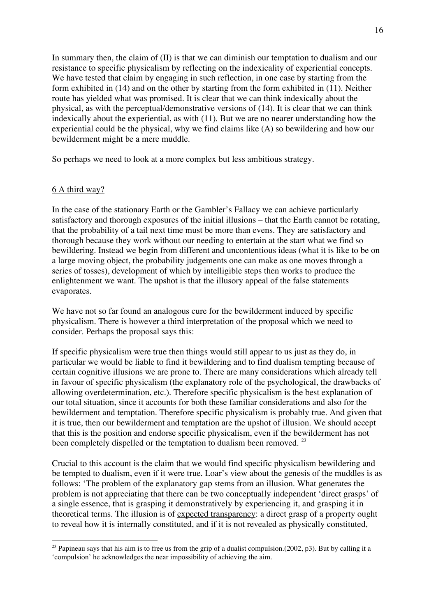In summary then, the claim of (II) is that we can diminish our temptation to dualism and our resistance to specific physicalism by reflecting on the indexicality of experiential concepts. We have tested that claim by engaging in such reflection, in one case by starting from the form exhibited in (14) and on the other by starting from the form exhibited in (11). Neither route has yielded what was promised. It is clear that we can think indexically about the physical, as with the perceptual/demonstrative versions of (14). It is clear that we can think indexically about the experiential, as with (11). But we are no nearer understanding how the experiential could be the physical, why we find claims like (A) so bewildering and how our bewilderment might be a mere muddle.

So perhaps we need to look at a more complex but less ambitious strategy.

### 6 A third way?

In the case of the stationary Earth or the Gambler's Fallacy we can achieve particularly satisfactory and thorough exposures of the initial illusions – that the Earth cannot be rotating, that the probability of a tail next time must be more than evens. They are satisfactory and thorough because they work without our needing to entertain at the start what we find so bewildering. Instead we begin from different and uncontentious ideas (what it is like to be on a large moving object, the probability judgements one can make as one moves through a series of tosses), development of which by intelligible steps then works to produce the enlightenment we want. The upshot is that the illusory appeal of the false statements evaporates.

We have not so far found an analogous cure for the bewilderment induced by specific physicalism. There is however a third interpretation of the proposal which we need to consider. Perhaps the proposal says this:

If specific physicalism were true then things would still appear to us just as they do, in particular we would be liable to find it bewildering and to find dualism tempting because of certain cognitive illusions we are prone to. There are many considerations which already tell in favour of specific physicalism (the explanatory role of the psychological, the drawbacks of allowing overdetermination, etc.). Therefore specific physicalism is the best explanation of our total situation, since it accounts for both these familiar considerations and also for the bewilderment and temptation. Therefore specific physicalism is probably true. And given that it is true, then our bewilderment and temptation are the upshot of illusion. We should accept that this is the position and endorse specific physicalism, even if the bewilderment has not been completely dispelled or the temptation to dualism been removed.<sup>23</sup>

Crucial to this account is the claim that we would find specific physicalism bewildering and be tempted to dualism, even if it were true. Loar's view about the genesis of the muddles is as follows: 'The problem of the explanatory gap stems from an illusion. What generates the problem is not appreciating that there can be two conceptually independent 'direct grasps' of a single essence, that is grasping it demonstratively by experiencing it, and grasping it in theoretical terms. The illusion is of expected transparency: a direct grasp of a property ought to reveal how it is internally constituted, and if it is not revealed as physically constituted,

<sup>&</sup>lt;sup>23</sup> Papineau says that his aim is to free us from the grip of a dualist compulsion.(2002, p3). But by calling it a 'compulsion' he acknowledges the near impossibility of achieving the aim.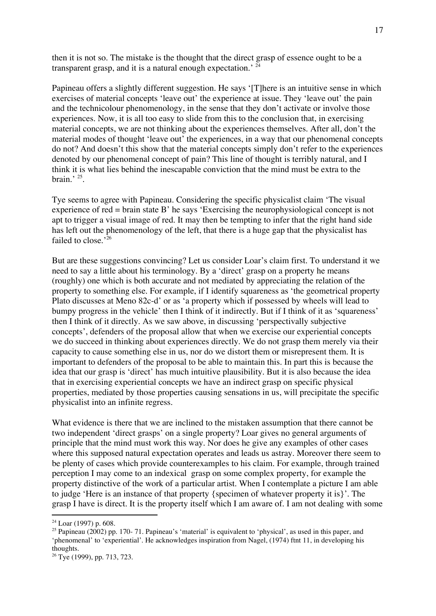then it is not so. The mistake is the thought that the direct grasp of essence ought to be a transparent grasp, and it is a natural enough expectation.<sup>' 24</sup>

Papineau offers a slightly different suggestion. He says '[T]here is an intuitive sense in which exercises of material concepts 'leave out' the experience at issue. They 'leave out' the pain and the technicolour phenomenology, in the sense that they don't activate or involve those experiences. Now, it is all too easy to slide from this to the conclusion that, in exercising material concepts, we are not thinking about the experiences themselves. After all, don't the material modes of thought 'leave out' the experiences, in a way that our phenomenal concepts do not? And doesn't this show that the material concepts simply don't refer to the experiences denoted by our phenomenal concept of pain? This line of thought is terribly natural, and I think it is what lies behind the inescapable conviction that the mind must be extra to the brain<sup> $, 25$ </sup>.

Tye seems to agree with Papineau. Considering the specific physicalist claim 'The visual experience of red = brain state B' he says 'Exercising the neurophysiological concept is not apt to trigger a visual image of red. It may then be tempting to infer that the right hand side has left out the phenomenology of the left, that there is a huge gap that the physicalist has failed to close.<sup>'26</sup>

But are these suggestions convincing? Let us consider Loar's claim first. To understand it we need to say a little about his terminology. By a 'direct' grasp on a property he means (roughly) one which is both accurate and not mediated by appreciating the relation of the property to something else. For example, if I identify squareness as 'the geometrical property Plato discusses at Meno 82c-d' or as 'a property which if possessed by wheels will lead to bumpy progress in the vehicle' then I think of it indirectly. But if I think of it as 'squareness' then I think of it directly. As we saw above, in discussing 'perspectivally subjective concepts', defenders of the proposal allow that when we exercise our experiential concepts we do succeed in thinking about experiences directly. We do not grasp them merely via their capacity to cause something else in us, nor do we distort them or misrepresent them. It is important to defenders of the proposal to be able to maintain this. In part this is because the idea that our grasp is 'direct' has much intuitive plausibility. But it is also because the idea that in exercising experiential concepts we have an indirect grasp on specific physical properties, mediated by those properties causing sensations in us, will precipitate the specific physicalist into an infinite regress.

What evidence is there that we are inclined to the mistaken assumption that there cannot be two independent 'direct grasps' on a single property? Loar gives no general arguments of principle that the mind must work this way. Nor does he give any examples of other cases where this supposed natural expectation operates and leads us astray. Moreover there seem to be plenty of cases which provide counterexamples to his claim. For example, through trained perception I may come to an indexical grasp on some complex property, for example the property distinctive of the work of a particular artist. When I contemplate a picture I am able to judge 'Here is an instance of that property {specimen of whatever property it is}'. The grasp I have is direct. It is the property itself which I am aware of. I am not dealing with some

 $24$  Loar (1997) p. 608.

<sup>&</sup>lt;sup>25</sup> Papineau (2002) pp. 170- 71. Papineau's 'material' is equivalent to 'physical', as used in this paper, and 'phenomenal' to 'experiential'. He acknowledges inspiration from Nagel, (1974) ftnt 11, in developing his thoughts.

<sup>26</sup> Tye (1999), pp. 713, 723.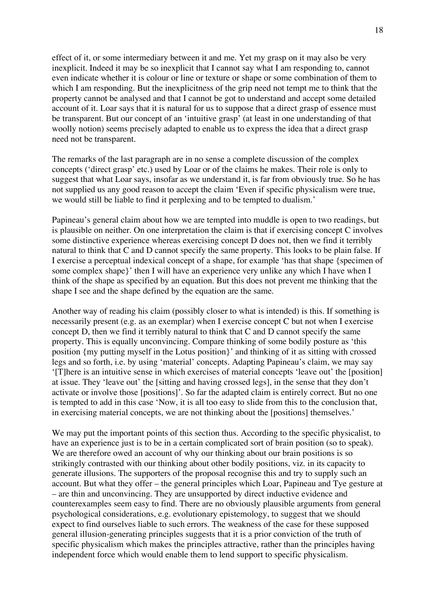effect of it, or some intermediary between it and me. Yet my grasp on it may also be very inexplicit. Indeed it may be so inexplicit that I cannot say what I am responding to, cannot even indicate whether it is colour or line or texture or shape or some combination of them to which I am responding. But the inexplicitness of the grip need not tempt me to think that the property cannot be analysed and that I cannot be got to understand and accept some detailed account of it. Loar says that it is natural for us to suppose that a direct grasp of essence must be transparent. But our concept of an 'intuitive grasp' (at least in one understanding of that woolly notion) seems precisely adapted to enable us to express the idea that a direct grasp need not be transparent.

The remarks of the last paragraph are in no sense a complete discussion of the complex concepts ('direct grasp' etc.) used by Loar or of the claims he makes. Their role is only to suggest that what Loar says, insofar as we understand it, is far from obviously true. So he has not supplied us any good reason to accept the claim 'Even if specific physicalism were true, we would still be liable to find it perplexing and to be tempted to dualism.'

Papineau's general claim about how we are tempted into muddle is open to two readings, but is plausible on neither. On one interpretation the claim is that if exercising concept C involves some distinctive experience whereas exercising concept D does not, then we find it terribly natural to think that C and D cannot specify the same property. This looks to be plain false. If I exercise a perceptual indexical concept of a shape, for example 'has that shape {specimen of some complex shape}' then I will have an experience very unlike any which I have when I think of the shape as specified by an equation. But this does not prevent me thinking that the shape I see and the shape defined by the equation are the same.

Another way of reading his claim (possibly closer to what is intended) is this. If something is necessarily present (e.g. as an exemplar) when I exercise concept C but not when I exercise concept D, then we find it terribly natural to think that C and D cannot specify the same property. This is equally unconvincing. Compare thinking of some bodily posture as 'this position {my putting myself in the Lotus position}' and thinking of it as sitting with crossed legs and so forth, i.e. by using 'material' concepts. Adapting Papineau's claim, we may say '[T]here is an intuitive sense in which exercises of material concepts 'leave out' the [position] at issue. They 'leave out' the [sitting and having crossed legs], in the sense that they don't activate or involve those [positions]'. So far the adapted claim is entirely correct. But no one is tempted to add in this case 'Now, it is all too easy to slide from this to the conclusion that, in exercising material concepts, we are not thinking about the [positions] themselves.'

We may put the important points of this section thus. According to the specific physicalist, to have an experience just is to be in a certain complicated sort of brain position (so to speak). We are therefore owed an account of why our thinking about our brain positions is so strikingly contrasted with our thinking about other bodily positions, viz. in its capacity to generate illusions. The supporters of the proposal recognise this and try to supply such an account. But what they offer – the general principles which Loar, Papineau and Tye gesture at – are thin and unconvincing. They are unsupported by direct inductive evidence and counterexamples seem easy to find. There are no obviously plausible arguments from general psychological considerations, e.g. evolutionary epistemology, to suggest that we should expect to find ourselves liable to such errors. The weakness of the case for these supposed general illusion-generating principles suggests that it is a prior conviction of the truth of specific physicalism which makes the principles attractive, rather than the principles having independent force which would enable them to lend support to specific physicalism.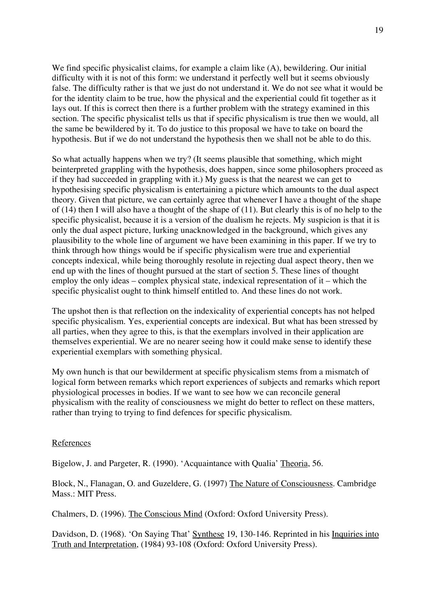We find specific physicalist claims, for example a claim like (A), bewildering. Our initial difficulty with it is not of this form: we understand it perfectly well but it seems obviously false. The difficulty rather is that we just do not understand it. We do not see what it would be for the identity claim to be true, how the physical and the experiential could fit together as it lays out. If this is correct then there is a further problem with the strategy examined in this section. The specific physicalist tells us that if specific physicalism is true then we would, all the same be bewildered by it. To do justice to this proposal we have to take on board the hypothesis. But if we do not understand the hypothesis then we shall not be able to do this.

So what actually happens when we try? (It seems plausible that something, which might beinterpreted grappling with the hypothesis, does happen, since some philosophers proceed as if they had succeeded in grappling with it.) My guess is that the nearest we can get to hypothesising specific physicalism is entertaining a picture which amounts to the dual aspect theory. Given that picture, we can certainly agree that whenever I have a thought of the shape of (14) then I will also have a thought of the shape of (11). But clearly this is of no help to the specific physicalist, because it is a version of the dualism he rejects. My suspicion is that it is only the dual aspect picture, lurking unacknowledged in the background, which gives any plausibility to the whole line of argument we have been examining in this paper. If we try to think through how things would be if specific physicalism were true and experiential concepts indexical, while being thoroughly resolute in rejecting dual aspect theory, then we end up with the lines of thought pursued at the start of section 5. These lines of thought employ the only ideas – complex physical state, indexical representation of it – which the specific physicalist ought to think himself entitled to. And these lines do not work.

The upshot then is that reflection on the indexicality of experiential concepts has not helped specific physicalism. Yes, experiential concepts are indexical. But what has been stressed by all parties, when they agree to this, is that the exemplars involved in their application are themselves experiential. We are no nearer seeing how it could make sense to identify these experiential exemplars with something physical.

My own hunch is that our bewilderment at specific physicalism stems from a mismatch of logical form between remarks which report experiences of subjects and remarks which report physiological processes in bodies. If we want to see how we can reconcile general physicalism with the reality of consciousness we might do better to reflect on these matters, rather than trying to trying to find defences for specific physicalism.

### References

Bigelow, J. and Pargeter, R. (1990). 'Acquaintance with Qualia' Theoria, 56.

Block, N., Flanagan, O. and Guzeldere, G. (1997) The Nature of Consciousness. Cambridge Mass · MIT Press.

Chalmers, D. (1996). The Conscious Mind (Oxford: Oxford University Press).

Davidson, D. (1968). 'On Saying That' Synthese 19, 130-146. Reprinted in his Inquiries into Truth and Interpretation, (1984) 93-108 (Oxford: Oxford University Press).